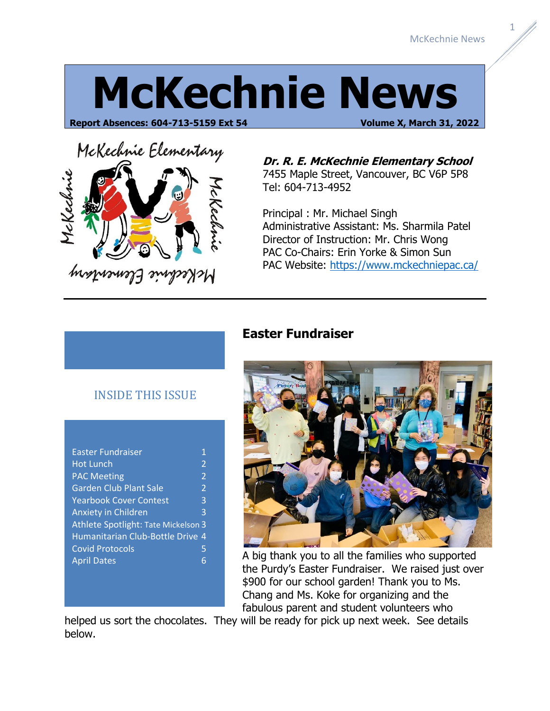1

# **McKechnie News**

**Report Absences: 604-713-5159 Ext 54 Volume X, March 31, 2022**



**Dr. R. E. McKechnie Elementary School** 7455 Maple Street, Vancouver, BC V6P 5P8 Tel: 604-713-4952

Principal : Mr. Michael Singh Administrative Assistant: Ms. Sharmila Patel Director of Instruction: Mr. Chris Wong PAC Co-Chairs: Erin Yorke & Simon Sun PAC Website:<https://www.mckechniepac.ca/>

|  | <b>INSIDE THIS ISSUE</b> |  |
|--|--------------------------|--|
|  |                          |  |

| <b>Easter Fundraiser</b>            | 1                        |  |  |  |  |
|-------------------------------------|--------------------------|--|--|--|--|
| <b>Hot Lunch</b>                    | $\overline{2}$           |  |  |  |  |
| <b>PAC Meeting</b>                  | $\overline{\phantom{a}}$ |  |  |  |  |
| <b>Garden Club Plant Sale</b>       | $\overline{2}$           |  |  |  |  |
| <b>Yearbook Cover Contest</b>       | 3                        |  |  |  |  |
| <b>Anxiety in Children</b>          | 3                        |  |  |  |  |
| Athlete Spotlight: Tate Mickelson 3 |                          |  |  |  |  |
| Humanitarian Club-Bottle Drive 4    |                          |  |  |  |  |
| <b>Covid Protocols</b>              | 5                        |  |  |  |  |
| <b>April Dates</b>                  | հ                        |  |  |  |  |
|                                     |                          |  |  |  |  |

#### **Easter Fundraiser**



A big thank you to all the families who supported the Purdy's Easter Fundraiser. We raised just over \$900 for our school garden! Thank you to Ms. Chang and Ms. Koke for organizing and the fabulous parent and student volunteers who

helped us sort the chocolates. They will be ready for pick up next week. See details below.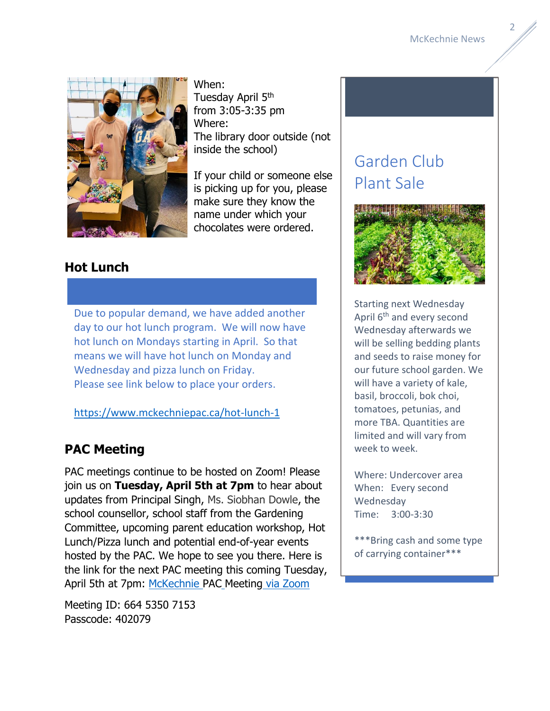

When: Tuesday April 5<sup>th</sup> from 3:05-3:35 pm Where: The library door outside (not inside the school)

If your child or someone else is picking up for you, please make sure they know the name under which your chocolates were ordered.

#### **Hot Lunch**

Due to popular demand, we have added another day to our hot lunch program. We will now have hot lunch on Mondays starting in April. So that means we will have hot lunch on Monday and Wednesday and pizza lunch on Friday. Please see link below to place your orders.

<https://www.mckechniepac.ca/hot-lunch-1>

#### **PAC Meeting**

PAC meetings continue to be hosted on Zoom! Please join us on **Tuesday, April 5th at 7pm** to hear about updates from Principal Singh, Ms. Siobhan Dowle, the school counsellor, school staff from the Gardening Committee, upcoming parent education workshop, Hot Lunch/Pizza lunch and potential end-of-year events hosted by the PAC. We hope to see you there. Here is the link for the next PAC meeting this coming Tuesday, April 5th at 7pm: [McKechnie](https://langara.zoom.us/j/66453507153?pwd=KzdScnFCcG1hWjVKWS85TEpRT3I2UT09) PAC Meeting via Zoom

Meeting ID: 664 5350 7153 Passcode: 402079

## Garden Club Plant Sale



Starting next Wednesday April 6<sup>th</sup> and every second Wednesday afterwards we will be selling bedding plants and seeds to raise money for our future school garden. We will have a variety of kale, basil, broccoli, bok choi, tomatoes, petunias, and more TBA. Quantities are limited and will vary from week to week.

Where: Undercover area When: Every second Wednesday Time: 3:00-3:30

\*\*\*Bring cash and some type of carrying container\*\*\*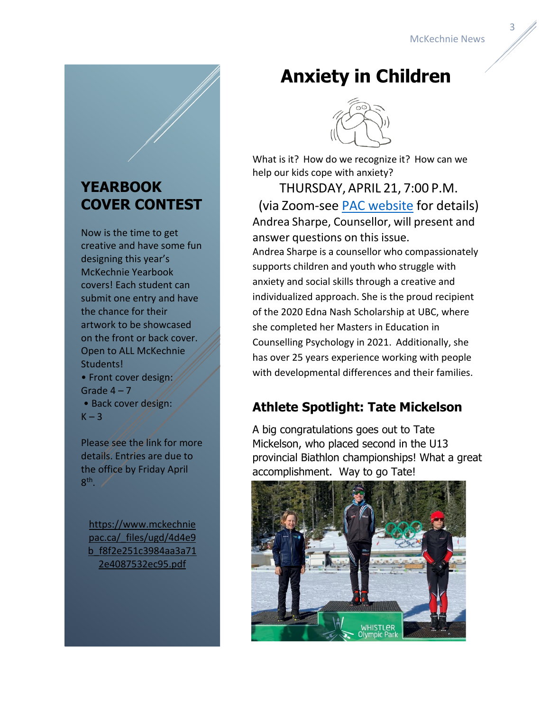### **YEARBOOK COVER CONTEST**

Now is the time to get creative and have some fun designing this year's McKechnie Yearbook covers! Each student can submit one entry and have the chance for their artwork to be showcased on the front or back cover. Open to ALL McKechnie Students! • Front cover design: Grade  $4 - 7$ • Back cover design:  $K - 3$ 

Please see the link for more details. Entries are due to the office by Friday April  $8<sup>th</sup>$ .

[https://www.mckechnie](https://www.mckechniepac.ca/_files/ugd/4d4e9b_f8f2e251c3984aa3a712e4087532ec95.pdf) pac.ca/ files/ugd/4d4e9 [b\\_f8f2e251c3984aa3a71](https://www.mckechniepac.ca/_files/ugd/4d4e9b_f8f2e251c3984aa3a712e4087532ec95.pdf) [2e4087532ec95.pdf](https://www.mckechniepac.ca/_files/ugd/4d4e9b_f8f2e251c3984aa3a712e4087532ec95.pdf) 

# **Anxiety in Children**



What is it? How do we recognize it? How can we help our kids cope with anxiety?

THURSDAY, APRIL 21, 7:00 P.M. (via Zoom-see [PAC website](https://www.mckechniepac.ca/) for details) Andrea Sharpe, Counsellor, will present and answer questions on this issue. Andrea Sharpe is a counsellor who compassionately supports children and youth who struggle with anxiety and social skills through a creative and individualized approach. She is the proud recipient of the 2020 Edna Nash Scholarship at UBC, where she completed her Masters in Education in Counselling Psychology in 2021. Additionally, she has over 25 years experience working with people with developmental differences and their families.

#### **Athlete Spotlight: Tate Mickelson**

A big congratulations goes out to Tate Mickelson, who placed second in the U13 provincial Biathlon championships! What a great accomplishment. Way to go Tate!

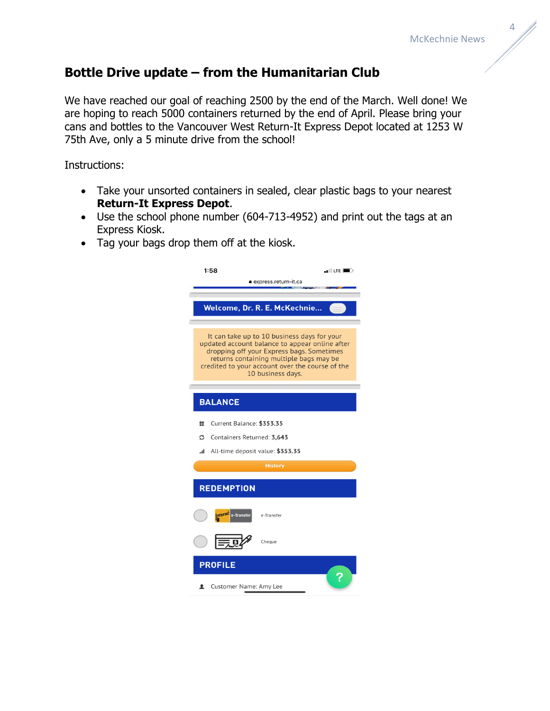#### **Bottle Drive update – from the Humanitarian Club**

We have reached our goal of reaching 2500 by the end of the March. Well done! We are hoping to reach 5000 containers returned by the end of April. Please bring your cans and bottles to the Vancouver West Return-It Express Depot located at 1253 W 75th Ave, only a 5 minute drive from the school!

Instructions:

- Take your unsorted containers in sealed, clear plastic bags to your nearest **Return-It Express Depot**.
- Use the school phone number (604-713-4952) and print out the tags at an Express Kiosk.
- Tag your bags drop them off at the kiosk.

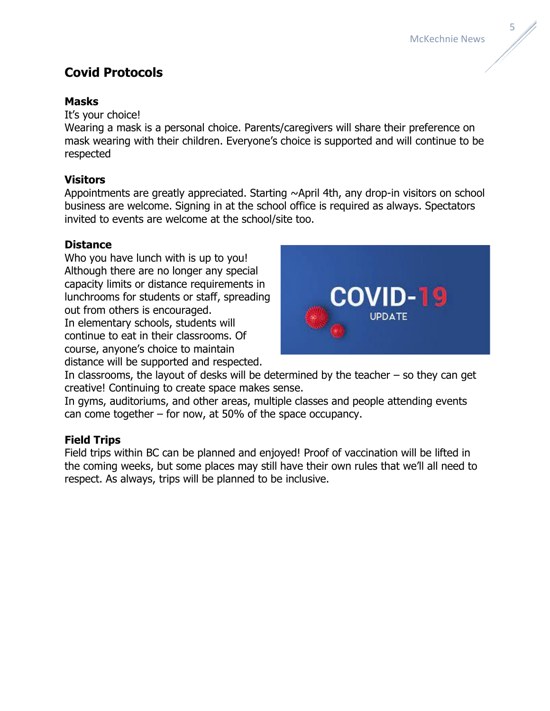

#### **Covid Protocols**

#### **Masks**

It's your choice!

Wearing a mask is a personal choice. Parents/caregivers will share their preference on mask wearing with their children. Everyone's choice is supported and will continue to be respected

#### **Visitors**

Appointments are greatly appreciated. Starting ~April 4th, any drop-in visitors on school business are welcome. Signing in at the school office is required as always. Spectators invited to events are welcome at the school/site too.

#### **Distance**

Who you have lunch with is up to you! Although there are no longer any special capacity limits or distance requirements in lunchrooms for students or staff, spreading out from others is encouraged. In elementary schools, students will continue to eat in their classrooms. Of course, anyone's choice to maintain

distance will be supported and respected.



In classrooms, the layout of desks will be determined by the teacher  $-$  so they can get creative! Continuing to create space makes sense.

In gyms, auditoriums, and other areas, multiple classes and people attending events can come together – for now, at 50% of the space occupancy.

#### **Field Trips**

Field trips within BC can be planned and enjoyed! Proof of vaccination will be lifted in the coming weeks, but some places may still have their own rules that we'll all need to respect. As always, trips will be planned to be inclusive.